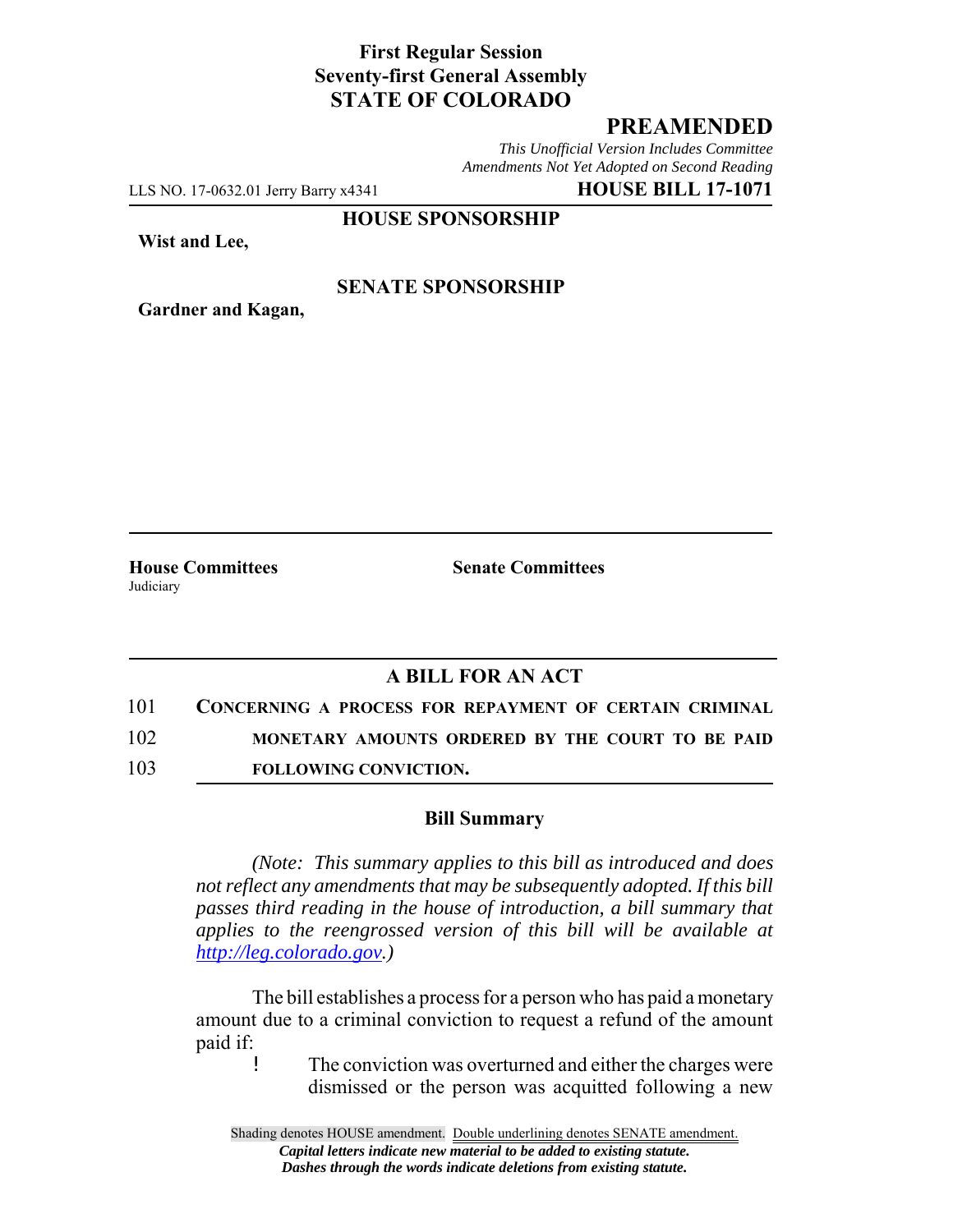# **First Regular Session Seventy-first General Assembly STATE OF COLORADO**

# **PREAMENDED**

*This Unofficial Version Includes Committee Amendments Not Yet Adopted on Second Reading*

LLS NO. 17-0632.01 Jerry Barry x4341 **HOUSE BILL 17-1071**

**HOUSE SPONSORSHIP**

**Wist and Lee,**

### **SENATE SPONSORSHIP**

**Gardner and Kagan,**

Judiciary

**House Committees Senate Committees** 

### **A BILL FOR AN ACT**

101 **CONCERNING A PROCESS FOR REPAYMENT OF CERTAIN CRIMINAL**

102 **MONETARY AMOUNTS ORDERED BY THE COURT TO BE PAID**

103 **FOLLOWING CONVICTION.**

#### **Bill Summary**

*(Note: This summary applies to this bill as introduced and does not reflect any amendments that may be subsequently adopted. If this bill passes third reading in the house of introduction, a bill summary that applies to the reengrossed version of this bill will be available at http://leg.colorado.gov.)*

The bill establishes a process for a person who has paid a monetary amount due to a criminal conviction to request a refund of the amount paid if:

! The conviction was overturned and either the charges were dismissed or the person was acquitted following a new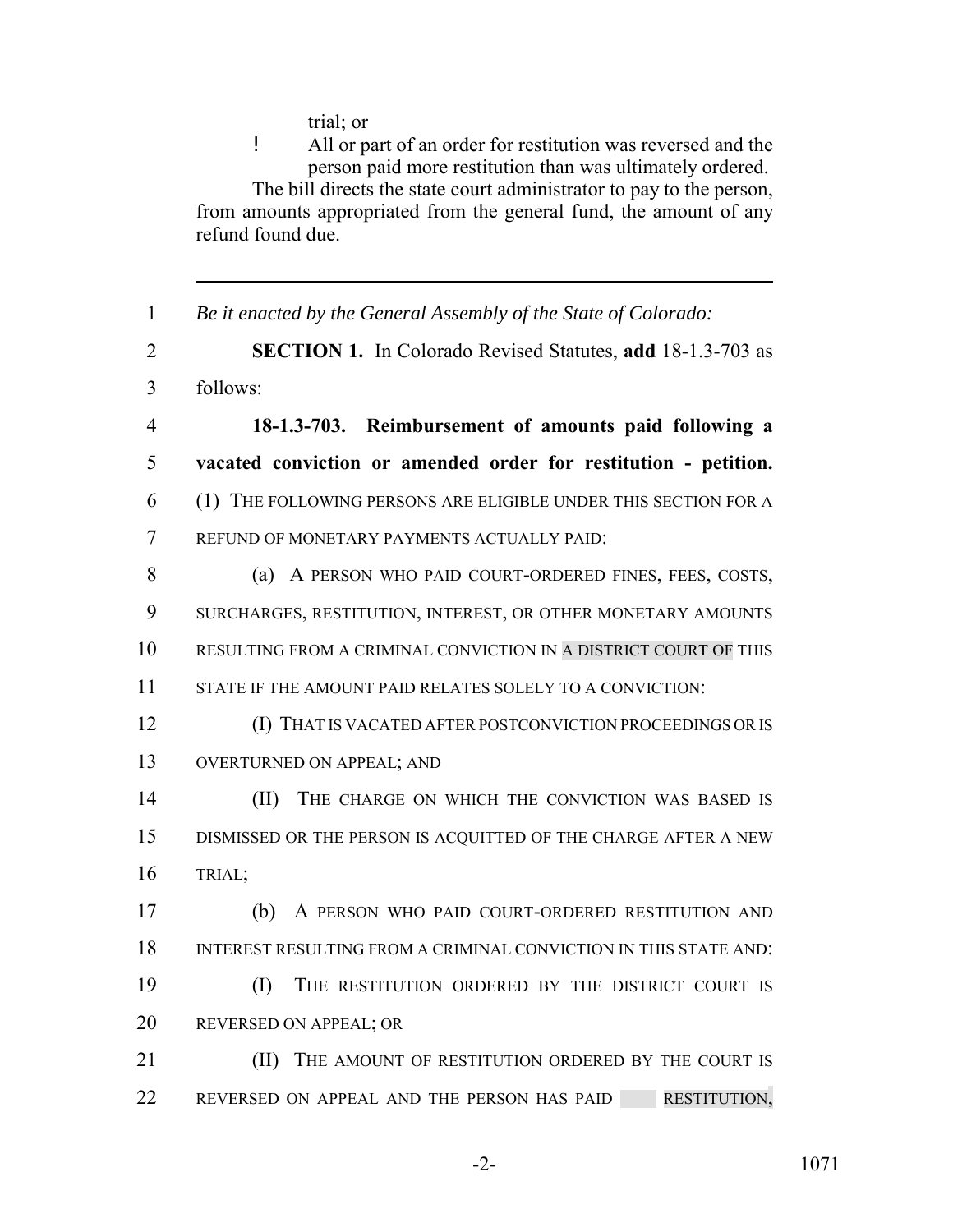trial; or

! All or part of an order for restitution was reversed and the person paid more restitution than was ultimately ordered. The bill directs the state court administrator to pay to the person, from amounts appropriated from the general fund, the amount of any refund found due.

 *Be it enacted by the General Assembly of the State of Colorado:* **SECTION 1.** In Colorado Revised Statutes, **add** 18-1.3-703 as follows: **18-1.3-703. Reimbursement of amounts paid following a vacated conviction or amended order for restitution - petition.** (1) THE FOLLOWING PERSONS ARE ELIGIBLE UNDER THIS SECTION FOR A REFUND OF MONETARY PAYMENTS ACTUALLY PAID: 8 (a) A PERSON WHO PAID COURT-ORDERED FINES, FEES, COSTS, SURCHARGES, RESTITUTION, INTEREST, OR OTHER MONETARY AMOUNTS RESULTING FROM A CRIMINAL CONVICTION IN A DISTRICT COURT OF THIS STATE IF THE AMOUNT PAID RELATES SOLELY TO A CONVICTION: (I) THAT IS VACATED AFTER POSTCONVICTION PROCEEDINGS OR IS OVERTURNED ON APPEAL; AND **(II)** THE CHARGE ON WHICH THE CONVICTION WAS BASED IS DISMISSED OR THE PERSON IS ACQUITTED OF THE CHARGE AFTER A NEW TRIAL; (b) A PERSON WHO PAID COURT-ORDERED RESTITUTION AND INTEREST RESULTING FROM A CRIMINAL CONVICTION IN THIS STATE AND: (I) THE RESTITUTION ORDERED BY THE DISTRICT COURT IS 20 REVERSED ON APPEAL; OR **III)** THE AMOUNT OF RESTITUTION ORDERED BY THE COURT IS 22 REVERSED ON APPEAL AND THE PERSON HAS PAID RESTITUTION,

-2- 1071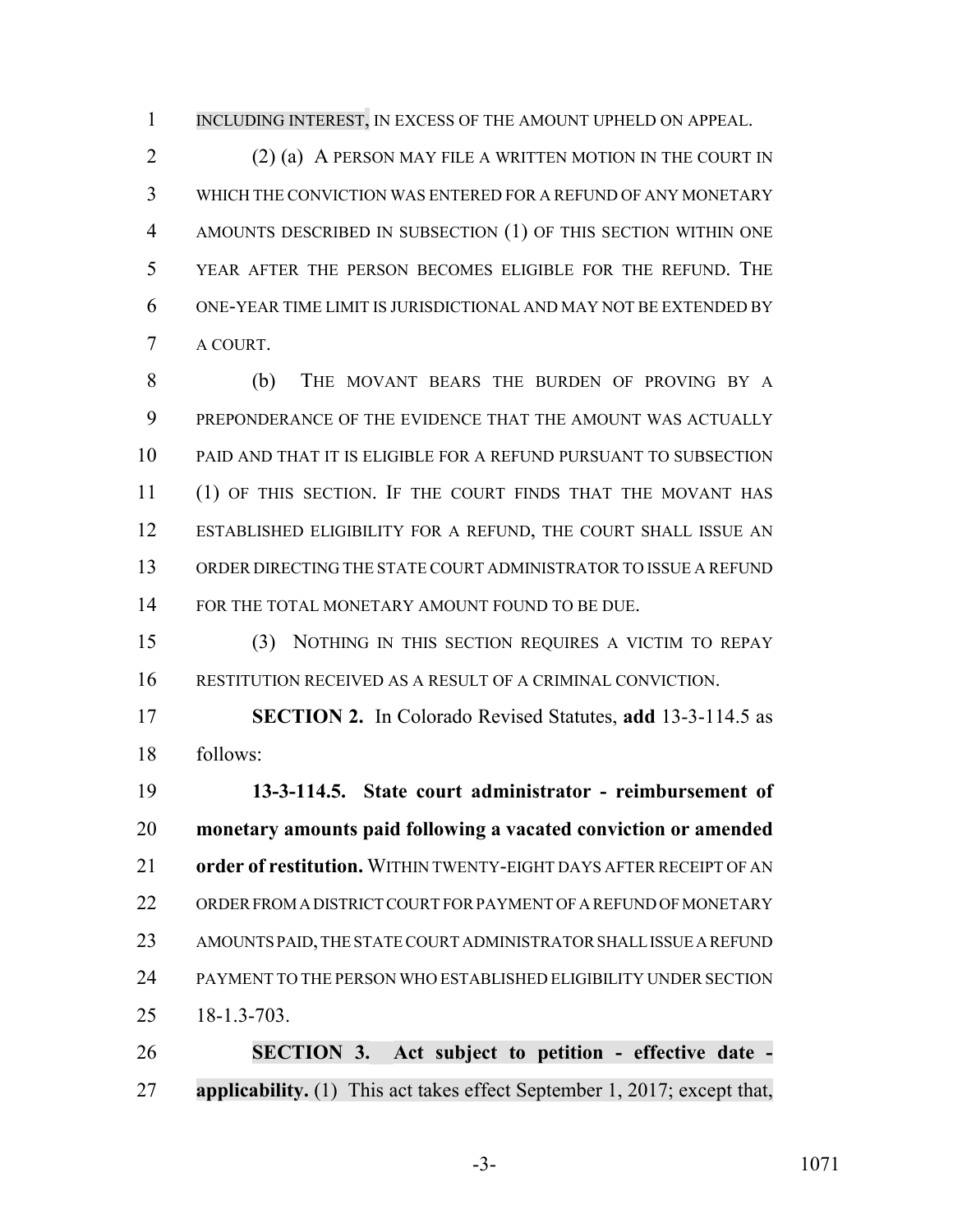1 INCLUDING INTEREST, IN EXCESS OF THE AMOUNT UPHELD ON APPEAL.

 (2) (a) A PERSON MAY FILE A WRITTEN MOTION IN THE COURT IN WHICH THE CONVICTION WAS ENTERED FOR A REFUND OF ANY MONETARY AMOUNTS DESCRIBED IN SUBSECTION (1) OF THIS SECTION WITHIN ONE YEAR AFTER THE PERSON BECOMES ELIGIBLE FOR THE REFUND. THE ONE-YEAR TIME LIMIT IS JURISDICTIONAL AND MAY NOT BE EXTENDED BY A COURT.

 (b) THE MOVANT BEARS THE BURDEN OF PROVING BY A PREPONDERANCE OF THE EVIDENCE THAT THE AMOUNT WAS ACTUALLY PAID AND THAT IT IS ELIGIBLE FOR A REFUND PURSUANT TO SUBSECTION (1) OF THIS SECTION. IF THE COURT FINDS THAT THE MOVANT HAS ESTABLISHED ELIGIBILITY FOR A REFUND, THE COURT SHALL ISSUE AN ORDER DIRECTING THE STATE COURT ADMINISTRATOR TO ISSUE A REFUND 14 FOR THE TOTAL MONETARY AMOUNT FOUND TO BE DUE.

 (3) NOTHING IN THIS SECTION REQUIRES A VICTIM TO REPAY RESTITUTION RECEIVED AS A RESULT OF A CRIMINAL CONVICTION.

 **SECTION 2.** In Colorado Revised Statutes, **add** 13-3-114.5 as follows:

 **13-3-114.5. State court administrator - reimbursement of monetary amounts paid following a vacated conviction or amended order of restitution.** WITHIN TWENTY-EIGHT DAYS AFTER RECEIPT OF AN ORDER FROM A DISTRICT COURT FOR PAYMENT OF A REFUND OF MONETARY AMOUNTS PAID, THE STATE COURT ADMINISTRATOR SHALL ISSUE A REFUND PAYMENT TO THE PERSON WHO ESTABLISHED ELIGIBILITY UNDER SECTION 18-1.3-703.

 **SECTION 3. Act subject to petition - effective date - applicability.** (1) This act takes effect September 1, 2017; except that,